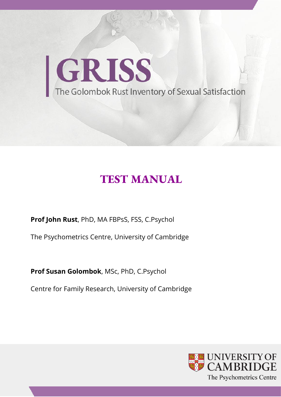

# **TEST MANUAL**

**Prof John Rust**, PhD, MA FBPsS, FSS, C.Psychol

The Psychometrics Centre, University of Cambridge

**Prof Susan Golombok**, MSc, PhD, C.Psychol

Centre for Family Research, University of Cambridge

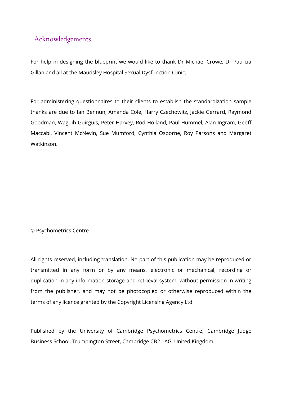## Acknowledgements

For help in designing the blueprint we would like to thank Dr Michael Crowe, Dr Patricia Gillan and all at the Maudsley Hospital Sexual Dysfunction Clinic.

For administering questionnaires to their clients to establish the standardization sample thanks are due to Ian Bennun, Amanda Cole, Harry Czechowitz, Jackie Gerrard, Raymond Goodman, Waguih Guirguis, Peter Harvey, Rod Holland, Paul Hummel, Alan Ingram, Geoff Maccabi, Vincent McNevin, Sue Mumford, Cynthia Osborne, Roy Parsons and Margaret Watkinson.

#### © Psychometrics Centre

All rights reserved, including translation. No part of this publication may be reproduced or transmitted in any form or by any means, electronic or mechanical, recording or duplication in any information storage and retrieval system, without permission in writing from the publisher, and may not be photocopied or otherwise reproduced within the terms of any licence granted by the Copyright Licensing Agency Ltd.

Published by the University of Cambridge Psychometrics Centre, Cambridge Judge Business School, Trumpington Street, Cambridge CB2 1AG, United Kingdom.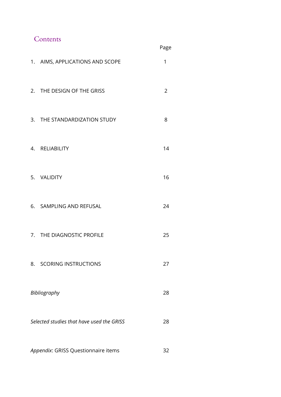# Contents

|    |                                           | Page           |
|----|-------------------------------------------|----------------|
|    | 1. AIMS, APPLICATIONS AND SCOPE           | 1              |
|    | 2. THE DESIGN OF THE GRISS                | $\overline{2}$ |
|    | 3. THE STANDARDIZATION STUDY              | 8              |
|    | 4. RELIABILITY                            | 14             |
|    | 5. VALIDITY                               | 16             |
|    | 6. SAMPLING AND REFUSAL                   | 24             |
|    | 7. THE DIAGNOSTIC PROFILE                 | 25             |
| 8. | <b>SCORING INSTRUCTIONS</b>               | 27             |
|    | Bibliography                              | 28             |
|    | Selected studies that have used the GRISS | 28             |
|    |                                           |                |

*Appendix*: GRISS Questionnaire items 32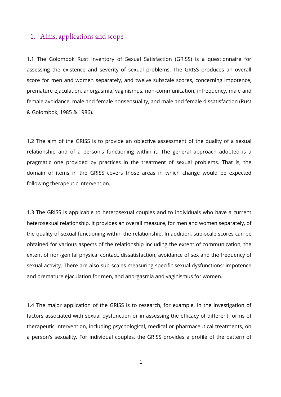### 1. Aims, applications and scope

1.1 The Golombok Rust Inventory of Sexual Satisfaction (GRISS) is a questionnaire for assessing the existence and severity of sexual problems. The GRISS produces an overall score for men and women separately, and twelve subscale scores, concerning impotence, premature ejaculation, anorgasmia, vaginismus, non-communication, infrequency, male and female avoidance, male and female nonsensuality, and male and female dissatisfaction (Rust & Golombok, 1985 & 1986).

1.2 The aim of the GRISS is to provide an objective assessment of the quality of a sexual relationship and of a person's functioning within it. The general approach adopted is a pragmatic one provided by practices in the treatment of sexual problems. That is, the domain of items in the GRISS covers those areas in which change would be expected following therapeutic intervention.

1.3 The GRISS is applicable to heterosexual couples and to individuals who have a current heterosexual relationship. It provides an overall measure, for men and women separately, of the quality of sexual functioning within the relationship. In addition, sub-scale scores can be obtained for various aspects of the relationship including the extent of communication, the extent of non-genital physical contact, dissatisfaction, avoidance of sex and the frequency of sexual activity. There are also sub-scales measuring specific sexual dysfunctions; impotence and premature ejaculation for men, and anorgasmia and vaginismus for women.

1.4 The major application of the GRISS is to research, for example, in the investigation of factors associated with sexual dysfunction or in assessing the efficacy of different forms of therapeutic intervention, including psychological, medical or pharmaceutical treatments, on a person's sexuality. For individual couples, the GRISS provides a profile of the pattern of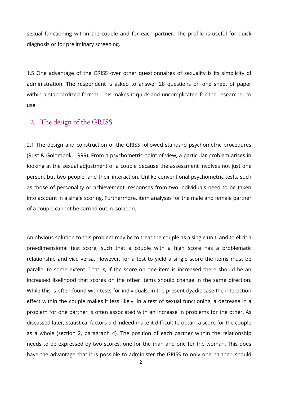sexual functioning within the couple and for each partner. The profile is useful for quick diagnosis or for preliminary screening.

1.5 One advantage of the GRISS over other questionnaires of sexuality is its simplicity of administration. The respondent is asked to answer 28 questions on one sheet of paper within a standardized format. This makes it quick and uncomplicated for the researcher to use.

### 2. The design of the GRISS

2.1 The design and construction of the GRISS followed standard psychometric procedures (Rust & Golombok, 1999). From a psychometric point of view, a particular problem arises in looking at the sexual adjustment of a couple because the assessment involves not just one person, but two people, and their interaction. Unlike conventional psychometric tests, such as those of personality or achievement, responses from two individuals need to be taken into account in a single scoring. Furthermore, item analyses for the male and female partner of a couple cannot be carried out in isolation.

An obvious solution to this problem may be to treat the couple as a single unit, and to elicit a one-dimensional test score, such that a couple with a high score has a problematic relationship and vice versa. However, for a test to yield a single score the items must be parallel to some extent. That is, if the score on one item is increased there should be an increased likelihood that scores on the other items should change in the same direction. While this is often found with tests for individuals, in the present dyadic case the interaction effect within the couple makes it less likely. In a test of sexual functioning, a decrease in a problem for one partner is often associated with an increase in problems for the other. As discussed later, statistical factors did indeed make it difficult to obtain a score for the couple as a whole (section 2, paragraph 4). The position of each partner within the relationship needs to be expressed by two scores, one for the man and one for the woman. This does have the advantage that it is possible to administer the GRISS to only one partner, should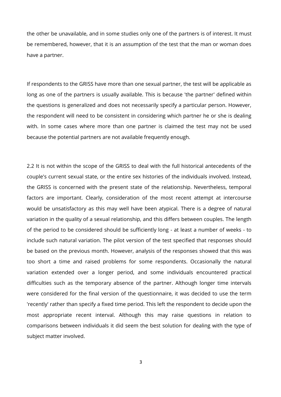the other be unavailable, and in some studies only one of the partners is of interest. It must be remembered, however, that it is an assumption of the test that the man or woman does have a partner.

If respondents to the GRISS have more than one sexual partner, the test will be applicable as long as one of the partners is usually available. This is because 'the partner' defined within the questions is generalized and does not necessarily specify a particular person. However, the respondent will need to be consistent in considering which partner he or she is dealing with. In some cases where more than one partner is claimed the test may not be used because the potential partners are not available frequently enough.

2.2 It is not within the scope of the GRISS to deal with the full historical antecedents of the couple's current sexual state, or the entire sex histories of the individuals involved. Instead, the GRISS is concerned with the present state of the relationship. Nevertheless, temporal factors are important. Clearly, consideration of the most recent attempt at intercourse would be unsatisfactory as this may well have been atypical. There is a degree of natural variation in the quality of a sexual relationship, and this differs between couples. The length of the period to be considered should be sufficiently long - at least a number of weeks - to include such natural variation. The pilot version of the test specified that responses should be based on the previous month. However, analysis of the responses showed that this was too short a time and raised problems for some respondents. Occasionally the natural variation extended over a longer period, and some individuals encountered practical difficulties such as the temporary absence of the partner. Although longer time intervals were considered for the final version of the questionnaire, it was decided to use the term 'recently' rather than specify a fixed time period. This left the respondent to decide upon the most appropriate recent interval. Although this may raise questions in relation to comparisons between individuals it did seem the best solution for dealing with the type of subject matter involved.

3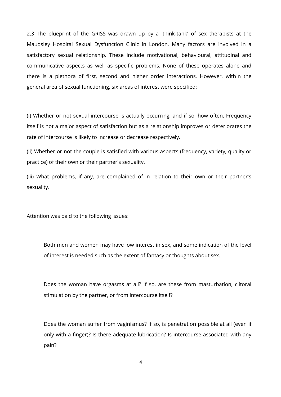2.3 The blueprint of the GRISS was drawn up by a 'think-tank' of sex therapists at the Maudsley Hospital Sexual Dysfunction Clinic in London. Many factors are involved in a satisfactory sexual relationship. These include motivational, behavioural, attitudinal and communicative aspects as well as specific problems. None of these operates alone and there is a plethora of first, second and higher order interactions. However, within the general area of sexual functioning, six areas of interest were specified:

(i) Whether or not sexual intercourse is actually occurring, and if so, how often. Frequency itself is not a major aspect of satisfaction but as a relationship improves or deteriorates the rate of intercourse is likely to increase or decrease respectively.

(ii) Whether or not the couple is satisfied with various aspects (frequency, variety, quality or practice) of their own or their partner's sexuality.

(iii) What problems, if any, are complained of in relation to their own or their partner's sexuality.

Attention was paid to the following issues:

Both men and women may have low interest in sex, and some indication of the level of interest is needed such as the extent of fantasy or thoughts about sex.

Does the woman have orgasms at all? If so, are these from masturbation, clitoral stimulation by the partner, or from intercourse itself?

Does the woman suffer from vaginismus? If so, is penetration possible at all (even if only with a finger)? Is there adequate lubrication? Is intercourse associated with any pain?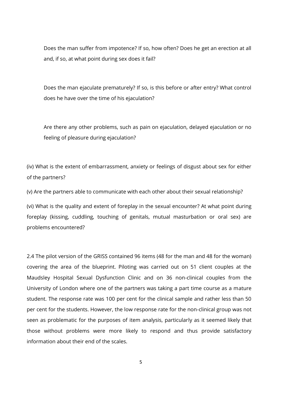Does the man suffer from impotence? If so, how often? Does he get an erection at all and, if so, at what point during sex does it fail?

Does the man ejaculate prematurely? If so, is this before or after entry? What control does he have over the time of his ejaculation?

Are there any other problems, such as pain on ejaculation, delayed ejaculation or no feeling of pleasure during ejaculation?

(iv) What is the extent of embarrassment, anxiety or feelings of disgust about sex for either of the partners?

(v) Are the partners able to communicate with each other about their sexual relationship?

(vi) What is the quality and extent of foreplay in the sexual encounter? At what point during foreplay (kissing, cuddling, touching of genitals, mutual masturbation or oral sex) are problems encountered?

2.4 The pilot version of the GRISS contained 96 items (48 for the man and 48 for the woman) covering the area of the blueprint. Piloting was carried out on 51 client couples at the Maudsley Hospital Sexual Dysfunction Clinic and on 36 non-clinical couples from the University of London where one of the partners was taking a part time course as a mature student. The response rate was 100 per cent for the clinical sample and rather less than 50 per cent for the students. However, the low response rate for the non-clinical group was not seen as problematic for the purposes of item analysis, particularly as it seemed likely that those without problems were more likely to respond and thus provide satisfactory information about their end of the scales.

5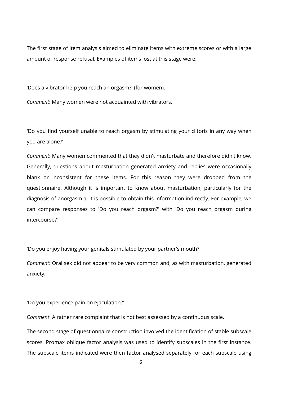The first stage of item analysis aimed to eliminate items with extreme scores or with a large amount of response refusal. Examples of items lost at this stage were:

'Does a vibrator help you reach an orgasm?' (for women).

*Comment*: Many women were not acquainted with vibrators.

'Do you find yourself unable to reach orgasm by stimulating your clitoris in any way when you are alone?'

*Comment*: Many women commented that they didn't masturbate and therefore didn't know. Generally, questions about masturbation generated anxiety and replies were occasionally blank or inconsistent for these items. For this reason they were dropped from the questionnaire. Although it is important to know about masturbation, particularly for the diagnosis of anorgasmia, it is possible to obtain this information indirectly. For example, we can compare responses to 'Do you reach orgasm?' with 'Do you reach orgasm during intercourse?'

'Do you enjoy having your genitals stimulated by your partner's mouth?'

*Comment*: Oral sex did not appear to be very common and, as with masturbation, generated anxiety.

'Do you experience pain on ejaculation?'

C*omment*: A rather rare complaint that is not best assessed by a continuous scale.

The second stage of questionnaire construction involved the identification of stable subscale scores. Promax oblique factor analysis was used to identify subscales in the first instance. The subscale items indicated were then factor analysed separately for each subscale using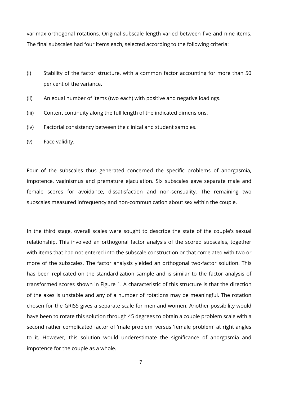varimax orthogonal rotations. Original subscale length varied between five and nine items. The final subscales had four items each, selected according to the following criteria:

- (i) Stability of the factor structure, with a common factor accounting for more than 50 per cent of the variance.
- (ii) An equal number of items (two each) with positive and negative loadings.
- (iii) Content continuity along the full length of the indicated dimensions.
- (iv) Factorial consistency between the clinical and student samples.
- (v) Face validity.

Four of the subscales thus generated concerned the specific problems of anorgasmia, impotence, vaginismus and premature ejaculation. Six subscales gave separate male and female scores for avoidance, dissatisfaction and non-sensuality. The remaining two subscales measured infrequency and non-communication about sex within the couple.

In the third stage, overall scales were sought to describe the state of the couple's sexual relationship. This involved an orthogonal factor analysis of the scored subscales, together with items that had not entered into the subscale construction or that correlated with two or more of the subscales. The factor analysis yielded an orthogonal two-factor solution. This has been replicated on the standardization sample and is similar to the factor analysis of transformed scores shown in Figure 1. A characteristic of this structure is that the direction of the axes is unstable and any of a number of rotations may be meaningful. The rotation chosen for the GRISS gives a separate scale for men and women. Another possibility would have been to rotate this solution through 45 degrees to obtain a couple problem scale with a second rather complicated factor of 'male problem' versus 'female problem' at right angles to it. However, this solution would underestimate the significance of anorgasmia and impotence for the couple as a whole.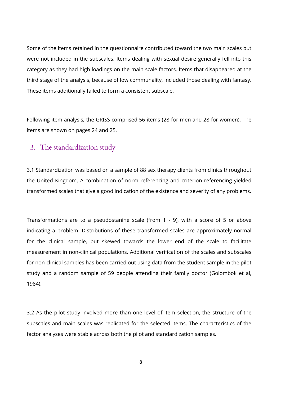Some of the items retained in the questionnaire contributed toward the two main scales but were not included in the subscales. Items dealing with sexual desire generally fell into this category as they had high loadings on the main scale factors. Items that disappeared at the third stage of the analysis, because of low communality, included those dealing with fantasy. These items additionally failed to form a consistent subscale.

Following item analysis, the GRISS comprised 56 items (28 for men and 28 for women). The items are shown on pages 24 and 25.

### 3. The standardization study

3.1 Standardization was based on a sample of 88 sex therapy clients from clinics throughout the United Kingdom. A combination of norm referencing and criterion referencing yielded transformed scales that give a good indication of the existence and severity of any problems.

Transformations are to a pseudostanine scale (from 1 - 9), with a score of 5 or above indicating a problem. Distributions of these transformed scales are approximately normal for the clinical sample, but skewed towards the lower end of the scale to facilitate measurement in non-clinical populations. Additional verification of the scales and subscales for non-clinical samples has been carried out using data from the student sample in the pilot study and a random sample of 59 people attending their family doctor (Golombok et al, 1984).

3.2 As the pilot study involved more than one level of item selection, the structure of the subscales and main scales was replicated for the selected items. The characteristics of the factor analyses were stable across both the pilot and standardization samples.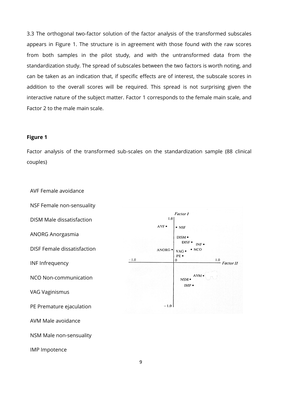3.3 The orthogonal two-factor solution of the factor analysis of the transformed subscales appears in Figure 1. The structure is in agreement with those found with the raw scores from both samples in the pilot study, and with the untransformed data from the standardization study. The spread of subscales between the two factors is worth noting, and can be taken as an indication that, if specific effects are of interest, the subscale scores in addition to the overall scores will be required. This spread is not surprising given the interactive nature of the subject matter. Factor 1 corresponds to the female main scale, and Factor 2 to the male main scale.

#### **Figure 1**

Factor analysis of the transformed sub-scales on the standardization sample (88 clinical couples)

AVF Female avoidance

NSF Female non-sensuality

DISM Male dissatisfaction

ANORG Anorgasmia

DISF Female dissatisfaction

INF Infrequency

NCO Non-communication

VAG Vaginismus

PE Premature ejaculation

AVM Male avoidance

NSM Male non-sensuality

IMP Impotence

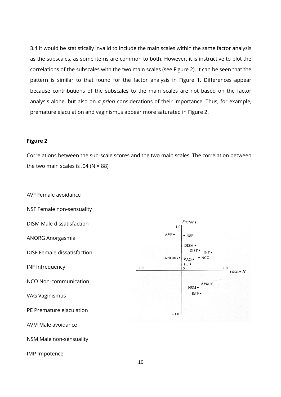3.4 It would be statistically invalid to include the main scales within the same factor analysis as the subscales, as some items are common to both. However, it is instructive to plot the correlations of the subscales with the two main scales (see Figure 2). It can be seen that the pattern is similar to that found for the factor analysis in Figure 1. Differences appear because contributions of the subscales to the main scales are not based on the factor analysis alone, but also on *a priori* considerations of their importance. Thus, for example, premature ejaculation and vaginismus appear more saturated in Figure 2.

#### **Figure 2**

Correlations between the sub-scale scores and the two main scales. The correlation between the two main scales is  $.04$  (N = 88)

AVF Female avoidance

NSF Female non-sensuality

DISM Male dissatisfaction

ANORG Anorgasmia

DISF Female dissatisfaction

INF Infrequency

NCO Non-communication

VAG Vaginismus

PE Premature ejaculation

AVM Male avoidance

NSM Male non-sensuality

IMP Impotence

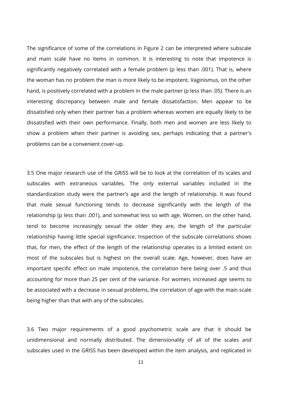The significance of some of the correlations in Figure 2 can be interpreted where subscale and main scale have no items in common. It is interesting to note that impotence is significantly negatively correlated with a female problem (p less than .001). That is, where the woman has no problem the man is more likely to be impotent. Vaginismus, on the other hand, is positively correlated with a problem in the male partner (p less than .05). There is an interesting discrepancy between male and female dissatisfaction. Men appear to be dissatisfied only when their partner has a problem whereas women are equally likely to be dissatisfied with their own performance. Finally, both men and women are less likely to show a problem when their partner is avoiding sex, perhaps indicating that a partner's problems can be a convenient cover-up.

3.5 One major research use of the GRISS will be to look at the correlation of its scales and subscales with extraneous variables. The only external variables included in the standardization study were the partner's age and the length of relationship. It was found that male sexual functioning tends to decrease significantly with the length of the relationship (p less than .001), and somewhat less so with age. Women, on the other hand, tend to become increasingly sexual the older they are, the length of the particular relationship having little special significance. Inspection of the subscale correlations shows that, for men, the effect of the length of the relationship operates to a limited extent on most of the subscales but is highest on the overall scale. Age, however, does have an important specific effect on male impotence, the correlation here being over .5 and thus accounting for more than 25 per cent of the variance. For women, increased age seems to be associated with a decrease in sexual problems, the correlation of age with the main scale being higher than that with any of the subscales.

3.6 Two major requirements of a good psychometric scale are that it should be unidimensional and normally distributed. The dimensionality of all of the scales and subscales used in the GRISS has been developed within the item analysis, and replicated in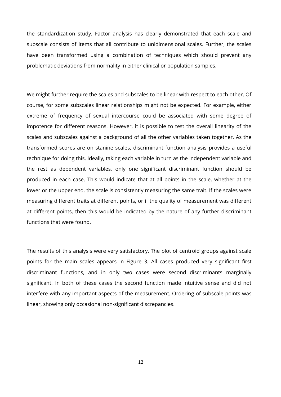the standardization study. Factor analysis has clearly demonstrated that each scale and subscale consists of items that all contribute to unidimensional scales. Further, the scales have been transformed using a combination of techniques which should prevent any problematic deviations from normality in either clinical or population samples.

We might further require the scales and subscales to be linear with respect to each other. Of course, for some subscales linear relationships might not be expected. For example, either extreme of frequency of sexual intercourse could be associated with some degree of impotence for different reasons. However, it is possible to test the overall linearity of the scales and subscales against a background of all the other variables taken together. As the transformed scores are on stanine scales, discriminant function analysis provides a useful technique for doing this. Ideally, taking each variable in turn as the independent variable and the rest as dependent variables, only one significant discriminant function should be produced in each case. This would indicate that at all points in the scale, whether at the lower or the upper end, the scale is consistently measuring the same trait. If the scales were measuring different traits at different points, or if the quality of measurement was different at different points, then this would be indicated by the nature of any further discriminant functions that were found.

The results of this analysis were very satisfactory. The plot of centroid groups against scale points for the main scales appears in Figure 3. All cases produced very significant first discriminant functions, and in only two cases were second discriminants marginally significant. In both of these cases the second function made intuitive sense and did not interfere with any important aspects of the measurement. Ordering of subscale points was linear, showing only occasional non-significant discrepancies.

12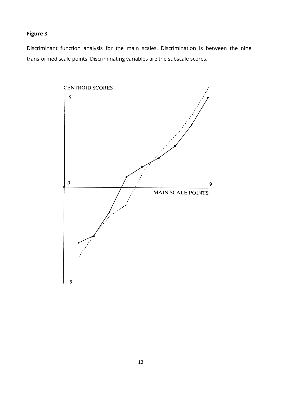### **Figure 3**

Discriminant function analysis for the main scales. Discrimination is between the nine transformed scale points. Discriminating variables are the subscale scores.

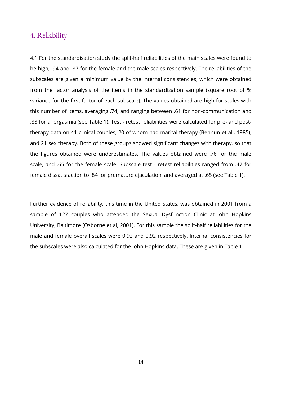### 4. Reliability

4.1 For the standardisation study the split-half reliabilities of the main scales were found to be high, .94 and .87 for the female and the male scales respectively. The reliabilities of the subscales are given a minimum value by the internal consistencies, which were obtained from the factor analysis of the items in the standardization sample (square root of % variance for the first factor of each subscale). The values obtained are high for scales with this number of items, averaging .74, and ranging between .61 for non-communication and .83 for anorgasmia (see Table 1). Test - retest reliabilities were calculated for pre- and posttherapy data on 41 clinical couples, 20 of whom had marital therapy (Bennun et al., 1985), and 21 sex therapy. Both of these groups showed significant changes with therapy, so that the figures obtained were underestimates. The values obtained were .76 for the male scale, and .65 for the female scale. Subscale test - retest reliabilities ranged from .47 for female dissatisfaction to .84 for premature ejaculation, and averaged at .65 (see Table 1).

Further evidence of reliability, this time in the United States, was obtained in 2001 from a sample of 127 couples who attended the Sexual Dysfunction Clinic at John Hopkins University, Baltimore (Osborne et al, 2001). For this sample the split-half reliabilities for the male and female overall scales were 0.92 and 0.92 respectively. Internal consistencies for the subscales were also calculated for the John Hopkins data. These are given in Table 1.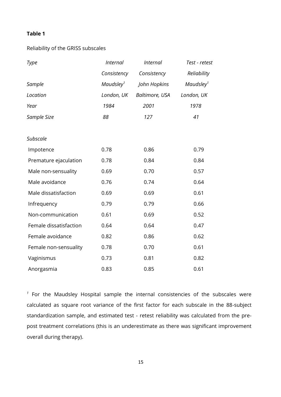#### **Table 1**

#### Reliability of the GRISS subscales

| Type                   | <b>Internal</b>       | <b>Internal</b> | Test - retest         |
|------------------------|-----------------------|-----------------|-----------------------|
|                        | Consistency           | Consistency     | Reliability           |
| Sample                 | Maudsley <sup>1</sup> | John Hopkins    | Maudsley <sup>1</sup> |
| Location               | London, UK            | Baltimore, USA  | London, UK            |
| Year                   | 1984                  | 2001            | 1978                  |
| Sample Size            | 88                    | 127             | 41                    |
|                        |                       |                 |                       |
| <b>Subscale</b>        |                       |                 |                       |
| Impotence              | 0.78                  | 0.86            | 0.79                  |
| Premature ejaculation  | 0.78                  | 0.84            | 0.84                  |
| Male non-sensuality    | 0.69                  | 0.70            | 0.57                  |
| Male avoidance         | 0.76                  | 0.74            | 0.64                  |
| Male dissatisfaction   | 0.69                  | 0.69            | 0.61                  |
| Infrequency            | 0.79                  | 0.79            | 0.66                  |
| Non-communication      | 0.61                  | 0.69            | 0.52                  |
| Female dissatisfaction | 0.64                  | 0.64            | 0.47                  |
| Female avoidance       | 0.82                  | 0.86            | 0.62                  |
| Female non-sensuality  | 0.78                  | 0.70            | 0.61                  |
| Vaginismus             | 0.73                  | 0.81            | 0.82                  |
| Anorgasmia             | 0.83                  | 0.85            | 0.61                  |

*1* For the Maudsley Hospital sample the internal consistencies of the subscales were calculated as square root variance of the first factor for each subscale in the 88-subject standardization sample, and estimated test - retest reliability was calculated from the prepost treatment correlations (this is an underestimate as there was significant improvement overall during therapy).

15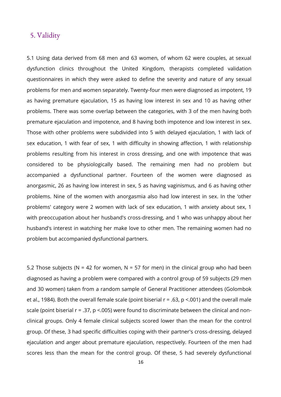### 5. Validity

5.1 Using data derived from 68 men and 63 women, of whom 62 were couples, at sexual dysfunction clinics throughout the United Kingdom, therapists completed validation questionnaires in which they were asked to define the severity and nature of any sexual problems for men and women separately. Twenty-four men were diagnosed as impotent, 19 as having premature ejaculation, 15 as having low interest in sex and 10 as having other problems. There was some overlap between the categories, with 3 of the men having both premature ejaculation and impotence, and 8 having both impotence and low interest in sex. Those with other problems were subdivided into 5 with delayed ejaculation, 1 with lack of sex education, 1 with fear of sex, 1 with difficulty in showing affection, 1 with relationship problems resulting from his interest in cross dressing, and one with impotence that was considered to be physiologically based. The remaining men had no problem but accompanied a dysfunctional partner. Fourteen of the women were diagnosed as anorgasmic, 26 as having low interest in sex, 5 as having vaginismus, and 6 as having other problems. Nine of the women with anorgasmia also had low interest in sex. In the 'other problems' category were 2 women with lack of sex education, 1 with anxiety about sex, 1 with preoccupation about her husband's cross-dressing, and 1 who was unhappy about her husband's interest in watching her make love to other men. The remaining women had no problem but accompanied dysfunctional partners.

5.2 Those subjects (N = 42 for women, N = 57 for men) in the clinical group who had been diagnosed as having a problem were compared with a control group of 59 subjects (29 men and 30 women) taken from a random sample of General Practitioner attendees (Golombok et al., 1984). Both the overall female scale (point biserial  $r = .63$ ,  $p < .001$ ) and the overall male scale (point biserial r = .37, p <.005) were found to discriminate between the clinical and nonclinical groups. Only 4 female clinical subjects scored lower than the mean for the control group. Of these, 3 had specific difficulties coping with their partner's cross-dressing, delayed ejaculation and anger about premature ejaculation, respectively. Fourteen of the men had scores less than the mean for the control group. Of these, 5 had severely dysfunctional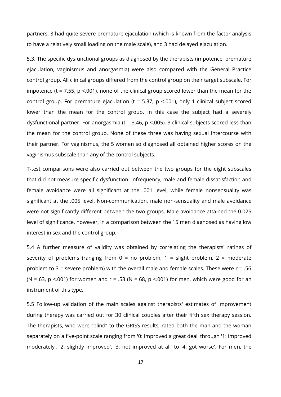partners, 3 had quite severe premature ejaculation (which is known from the factor analysis to have a relatively small loading on the male scale), and 3 had delayed ejaculation.

5.3. The specific dysfunctional groups as diagnosed by the therapists (impotence, premature ejaculation, vaginismus and anorgasmia) were also compared with the General Practice control group. All clinical groups differed from the control group on their target subscale. For impotence (t = 7.55,  $p$  <.001), none of the clinical group scored lower than the mean for the control group. For premature ejaculation (t = 5.37, p <.001), only 1 clinical subject scored lower than the mean for the control group. In this case the subject had a severely dysfunctional partner. For anorgasmia ( $t = 3.46$ ,  $p < .005$ ), 3 clinical subjects scored less than the mean for the control group. None of these three was having sexual intercourse with their partner. For vaginismus, the 5 women so diagnosed all obtained higher scores on the vaginismus subscale than any of the control subjects.

T-test comparisons were also carried out between the two groups for the eight subscales that did not measure specific dysfunction. Infrequency, male and female dissatisfaction and female avoidance were all significant at the .001 level, while female nonsensuality was significant at the .005 level. Non-communication, male non-sensuality and male avoidance were not significantly different between the two groups. Male avoidance attained the 0.025 level of significance, however, in a comparison between the 15 men diagnosed as having low interest in sex and the control group.

5.4 A further measure of validity was obtained by correlating the therapists' ratings of severity of problems (ranging from  $0 = no$  problem,  $1 =$  slight problem,  $2 =$  moderate problem to 3 = severe problem) with the overall male and female scales. These were  $r = .56$ (N = 63, p <.001) for women and r = .53 (N = 68, p <.001) for men, which were good for an instrument of this type.

5.5 Follow-up validation of the main scales against therapists' estimates of improvement during therapy was carried out for 30 clinical couples after their fifth sex therapy session. The therapists, who were "blind" to the GRISS results, rated both the man and the woman separately on a five-point scale ranging from '0: improved a great deal' through '1: improved moderately', '2: slightly improved', '3: not improved at all' to '4: got worse'. For men, the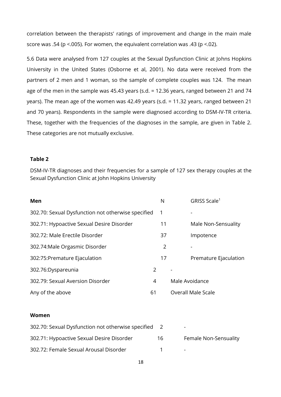correlation between the therapists' ratings of improvement and change in the main male score was .54 (p <.005). For women, the equivalent correlation was .43 (p <.02).

5.6 Data were analysed from 127 couples at the Sexual Dysfunction Clinic at Johns Hopkins University in the United States (Osborne et al, 2001). No data were received from the partners of 2 men and 1 woman, so the sample of complete couples was 124. The mean age of the men in the sample was 45.43 years (s.d. = 12.36 years, ranged between 21 and 74 years). The mean age of the women was 42.49 years (s.d. = 11.32 years, ranged between 21 and 70 years). Respondents in the sample were diagnosed according to DSM-IV-TR criteria. These, together with the frequencies of the diagnoses in the sample, are given in Table 2. These categories are not mutually exclusive.

#### **Table 2**

DSM-IV-TR diagnoses and their frequencies for a sample of 127 sex therapy couples at the Sexual Dysfunction Clinic at John Hopkins University

| Men                                                |    | N              | GRISS Scale <sup>1</sup>  |
|----------------------------------------------------|----|----------------|---------------------------|
| 302.70: Sexual Dysfunction not otherwise specified |    | 1              |                           |
| 302.71: Hypoactive Sexual Desire Disorder          |    | 11             | Male Non-Sensuality       |
| 302.72: Male Erectile Disorder                     |    | 37             | Impotence                 |
| 302.74: Male Orgasmic Disorder                     |    | $\overline{2}$ |                           |
| 302:75: Premature Ejaculation                      |    | 17             | Premature Ejaculation     |
| 302.76:Dyspareunia                                 | 2  |                |                           |
| 302.79: Sexual Aversion Disorder                   | 4  |                | Male Avoidance            |
| Any of the above                                   | 61 |                | <b>Overall Male Scale</b> |

#### **Women**

| 302.70: Sexual Dysfunction not otherwise specified 2 |     | -                        |
|------------------------------------------------------|-----|--------------------------|
| 302.71: Hypoactive Sexual Desire Disorder            | 16. | Female Non-Sensuality    |
| 302.72: Female Sexual Arousal Disorder               |     | $\overline{\phantom{0}}$ |

18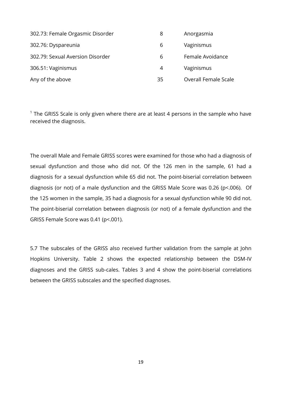| 302.73: Female Orgasmic Disorder | 8  | Anorgasmia                  |
|----------------------------------|----|-----------------------------|
| 302.76: Dyspareunia              | 6  | Vaginismus                  |
| 302.79: Sexual Aversion Disorder | 6  | Female Avoidance            |
| 306.51: Vaginismus               | 4  | Vaginismus                  |
| Any of the above                 | 35 | <b>Overall Female Scale</b> |

 $1$  The GRISS Scale is only given where there are at least 4 persons in the sample who have received the diagnosis.

The overall Male and Female GRISS scores were examined for those who had a diagnosis of sexual dysfunction and those who did not. Of the 126 men in the sample, 61 had a diagnosis for a sexual dysfunction while 65 did not. The point-biserial correlation between diagnosis (or not) of a male dysfunction and the GRISS Male Score was 0.26 (p<.006). Of the 125 women in the sample, 35 had a diagnosis for a sexual dysfunction while 90 did not. The point-biserial correlation between diagnosis (or not) of a female dysfunction and the GRISS Female Score was 0.41 (p<.001).

5.7 The subscales of the GRISS also received further validation from the sample at John Hopkins University. Table 2 shows the expected relationship between the DSM-IV diagnoses and the GRISS sub-cales. Tables 3 and 4 show the point-biserial correlations between the GRISS subscales and the specified diagnoses.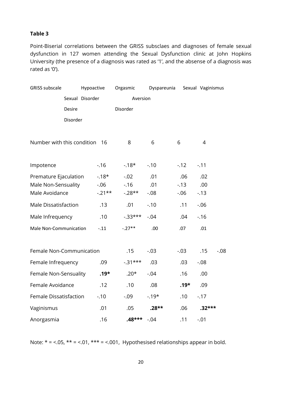#### **Table 3**

Point-Biserial correlations between the GRISS subsclaes and diagnoses of female sexual dysfunction in 127 women attending the Sexual Dysfunction clinic at John Hopkins University (the presence of a diagnosis was rated as '1', and the absense of a diagnosis was rated as '0').

| <b>GRISS subscale</b>         |          | Hypoactive      |          | Orgasmic   | Dyspareunia |         | Sexual Vaginismus |         |
|-------------------------------|----------|-----------------|----------|------------|-------------|---------|-------------------|---------|
|                               |          | Sexual Disorder |          | Aversion   |             |         |                   |         |
|                               | Desire   |                 |          | Disorder   |             |         |                   |         |
|                               | Disorder |                 |          |            |             |         |                   |         |
|                               |          |                 |          |            |             |         |                   |         |
| Number with this condition 16 |          |                 |          | 8          | 6           | 6       | 4                 |         |
|                               |          |                 |          |            |             |         |                   |         |
| Impotence                     |          |                 | $-16$    | $-18*$     | $-.10$      | $-12$   | $-.11$            |         |
| Premature Ejaculation         |          |                 | $-18*$   | $-.02$     | .01         | .06     | .02               |         |
| Male Non-Sensuality           |          |                 | $-0.06$  | $-0.16$    | .01         | $-13$   | .00               |         |
| Male Avoidance                |          |                 | $-.21**$ | $-.28**$   | $-.08$      | $-0.06$ | $-13$             |         |
| <b>Male Dissatisfaction</b>   |          |                 | .13      | .01        | $-.10$      | .11     | $-0.06$           |         |
| Male Infrequency              |          |                 | .10      | $-0.33***$ | $-.04$      | .04     | $-0.16$           |         |
| Male Non-Communication        |          |                 | $-.11$   | $-.27**$   | .00         | .07     | .01               |         |
|                               |          |                 |          |            |             |         |                   |         |
| Female Non-Communication      |          |                 |          | .15        | $-.03$      | $-0.03$ | .15               | $-0.08$ |
| Female Infrequency            |          |                 | .09      | $-0.31***$ | .03         | .03     | $-0.08$           |         |
| Female Non-Sensuality         |          |                 | $.19*$   | $.20*$     | $-.04$      | .16     | .00               |         |
| Female Avoidance              |          |                 | .12      | .10        | .08         | $.19*$  | .09               |         |
| Female Dissatisfaction        |          |                 | $-.10$   | $-0.09$    | $-19*$      | .10     | $-17$             |         |
| Vaginismus                    |          |                 | .01      | .05        | $.28**$     | .06     | $.32***$          |         |
| Anorgasmia                    |          |                 | .16      | $.48***$   | $-.04$      | .11     | $-.01$            |         |

Note:  $* = <.05$ ,  $** = <.01$ ,  $*** = <.001$ , Hypothesised relationships appear in bold.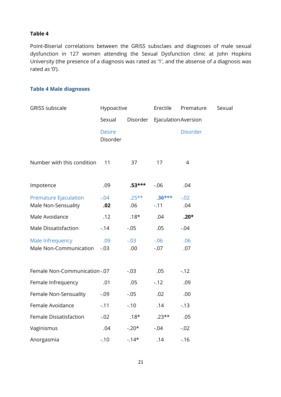#### **Table 4**

Point-Biserial correlations between the GRISS subsclaes and diagnoses of male sexual dysfunction in 127 women attending the Sexual Dysfunction clinic at John Hopkins University (the presence of a diagnosis was rated as '1', and the absense of a diagnosis was rated as '0').

#### **Table 4 Male diagnoses**

| <b>GRISS subscale</b>                               | Hypoactive                |                 | Erectile            | Premature       | Sexual |
|-----------------------------------------------------|---------------------------|-----------------|---------------------|-----------------|--------|
|                                                     | Sexual<br>Disorder        |                 | EjaculationAversion |                 |        |
|                                                     | <b>Desire</b><br>Disorder |                 |                     | <b>Disorder</b> |        |
| Number with this condition                          | 11                        | 37              | 17                  | $\overline{4}$  |        |
| Impotence                                           | .09                       | $.53***$        | $-0.06$             | .04             |        |
| <b>Premature Ejaculation</b><br>Male Non-Sensuality | $-.04$<br>.02             | $.25***$<br>.06 | $.36***$<br>$-.11$  | $-.02$<br>.04   |        |
| Male Avoidance                                      | .12                       | $.18*$          | .04                 | $.20*$          |        |
| Male Dissatisfaction                                | $-14$                     | $-.05$          | .05                 | $-0.04$         |        |
| Male Infrequency<br>Male Non-Communication          | .09<br>$-.03$             | $-.03$<br>.00   | $-0.06$<br>$-.07$   | .06<br>.07      |        |
| Female Non-Communication-.07                        |                           | $-.03$          | .05                 | $-12$           |        |
| Female Infrequency                                  | .01                       | .05             | $-12$               | .09             |        |
| Female Non-Sensuality                               | $-0.09$                   | $-.05$          | .02                 | .00             |        |
| Female Avoidance                                    | $-.11$                    | $-.10$          | .14                 | $-0.13$         |        |
| Female Dissatisfaction                              | $-.02$                    | $.18*$          | $.23**$             | .05             |        |
| Vaginismus                                          | .04                       | $-.20*$         | $-.04$              | $-.02$          |        |
| Anorgasmia                                          | $-.10$                    | $-14*$          | .14                 | $-0.16$         |        |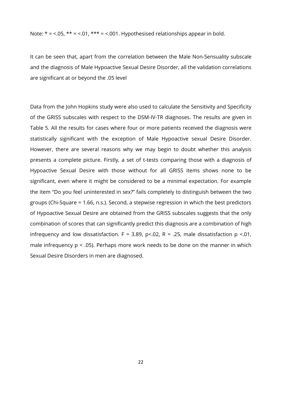Note:  $* = 5.05$ ,  $** = 5.01$ ,  $*** = 5.001$ . Hypothesised relationships appear in bold.

It can be seen that, apart from the correlation between the Male Non-Sensuality subscale and the diagnosis of Male Hypoactive Sexual Desire Disorder, all the validation correlations are significant at or beyond the .05 level

Data from the John Hopkins study were also used to calculate the Sensitivity and Specificity of the GRISS subscales with respect to the DSM-IV-TR diagnoses. The results are given in Table 5. All the results for cases where four or more patients received the diagnosis were statistically significant with the exception of Male Hypoactive sexual Desire Disorder. However, there are several reasons why we may begin to doubt whether this analysis presents a complete picture. Firstly, a set of t-tests comparing those with a diagnosis of Hypoactive Sexual Desire with those without for all GRISS items shows none to be significant, even where it might be considered to be a minimal expectation. For example the item "Do you feel uninterested in sex?" fails completely to distinguish between the two groups (Chi-Square = 1.66, n.s.). Second, a stepwise regression in which the best predictors of Hypoactive Sexual Desire are obtained from the GRISS subscales suggests that the only combination of scores that can significantly predict this diagnosis are a combination of high infrequency and low dissatisfaction. F = 3.89, p <.02, R = .25, male dissatisfaction  $p \le 01$ , male infrequency  $p < .05$ ). Perhaps more work needs to be done on the manner in which Sexual Desire Disorders in men are diagnosed.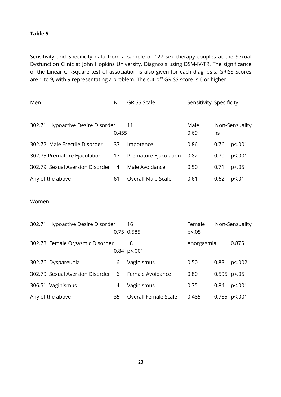#### **Table 5**

Sensitivity and Specificity data from a sample of 127 sex therapy couples at the Sexual Dysfunction Clinic at John Hopkins University. Diagnosis using DSM-IV-TR. The significance of the Linear Ch-Square test of association is also given for each diagnosis. GRISS Scores are 1 to 9, with 9 representating a problem. The cut-off GRISS score is 6 or higher.

| Men                                | N     | GRISS Scale <sup>1</sup>  | Sensitivity Specificity |      |                |
|------------------------------------|-------|---------------------------|-------------------------|------|----------------|
| 302.71: Hypoactive Desire Disorder | 0.455 | 11                        | Male<br>0.69            | ns   | Non-Sensuality |
| 302.72: Male Erectile Disorder     | 37    | Impotence                 | 0.86                    | 0.76 | p <. 001       |
| 302:75:Premature Ejaculation       | 17    | Premature Ejaculation     | 0.82                    | 0.70 | p<.001         |
| 302.79: Sexual Aversion Disorder   | 4     | Male Avoidance            | 0.50                    | 0.71 | p <.05         |
| Any of the above                   | 61    | <b>Overall Male Scale</b> | 0.61                    | 0.62 | p<.01          |
| Women                              |       |                           |                         |      |                |
| 302.71: Hynnactive Desire Disorder |       | 16.                       | Eemale                  |      | Non-Sensuality |

| 302.7 T. Hypoacuve Desire Disorder |    | 0.75 0.585                  | <u>remaje</u><br>p<.05 |                | <b>INULL-SELISUATILY</b> |
|------------------------------------|----|-----------------------------|------------------------|----------------|--------------------------|
| 302.73: Female Orgasmic Disorder   |    | 8<br>$0.84$ p<.001          | Anorgasmia             |                | 0.875                    |
| 302.76: Dyspareunia                | 6  | Vaginismus                  | 0.50                   | 0.83           | p<.002                   |
| 302.79: Sexual Aversion Disorder   | 6  | Female Avoidance            | 0.80                   | $0.595$ p <.05 |                          |
| 306.51: Vaginismus                 | 4  | Vaginismus                  | 0.75                   | 0.84           | p<.001                   |
| Any of the above                   | 35 | <b>Overall Female Scale</b> | 0.485                  |                | $0.785$ p <.001          |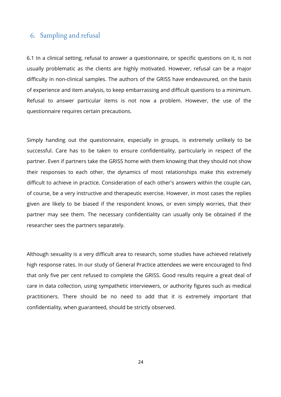### 6. Sampling and refusal

6.1 In a clinical setting, refusal to answer a questionnaire, or specific questions on it, is not usually problematic as the clients are highly motivated. However, refusal can be a major difficulty in non-clinical samples. The authors of the GRISS have endeavoured, on the basis of experience and item analysis, to keep embarrassing and difficult questions to a minimum. Refusal to answer particular items is not now a problem. However, the use of the questionnaire requires certain precautions.

Simply handing out the questionnaire, especially in groups, is extremely unlikely to be successful. Care has to be taken to ensure confidentiality, particularly in respect of the partner. Even if partners take the GRISS home with them knowing that they should not show their responses to each other, the dynamics of most relationships make this extremely difficult to achieve in practice. Consideration of each other's answers within the couple can, of course, be a very instructive and therapeutic exercise. However, in most cases the replies given are likely to be biased if the respondent knows, or even simply worries, that their partner may see them. The necessary confidentiality can usually only be obtained if the researcher sees the partners separately.

Although sexuality is a very difficult area to research, some studies have achieved relatively high response rates. In our study of General Practice attendees we were encouraged to find that only five per cent refused to complete the GRISS. Good results require a great deal of care in data collection, using sympathetic interviewers, or authority figures such as medical practitioners. There should be no need to add that it is extremely important that confidentiality, when guaranteed, should be strictly observed.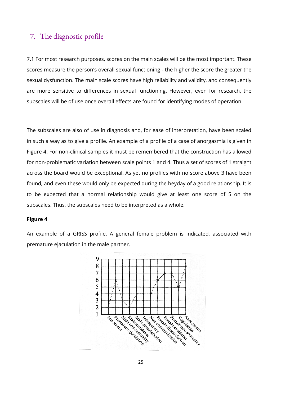### 7. The diagnostic profile

7.1 For most research purposes, scores on the main scales will be the most important. These scores measure the person's overall sexual functioning - the higher the score the greater the sexual dysfunction. The main scale scores have high reliability and validity, and consequently are more sensitive to differences in sexual functioning. However, even for research, the subscales will be of use once overall effects are found for identifying modes of operation.

The subscales are also of use in diagnosis and, for ease of interpretation, have been scaled in such a way as to give a profile. An example of a profile of a case of anorgasmia is given in Figure 4. For non-clinical samples it must be remembered that the construction has allowed for non-problematic variation between scale points 1 and 4. Thus a set of scores of 1 straight across the board would be exceptional. As yet no profiles with no score above 3 have been found, and even these would only be expected during the heyday of a good relationship. It is to be expected that a normal relationship would give at least one score of 5 on the subscales. Thus, the subscales need to be interpreted as a whole.

#### **Figure 4**

An example of a GRISS profile. A general female problem is indicated, associated with premature ejaculation in the male partner.

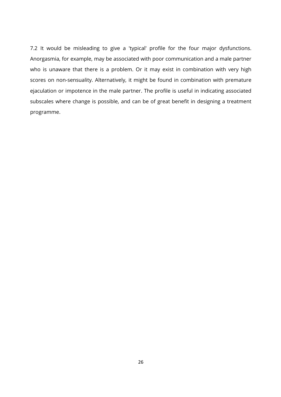7.2 It would be misleading to give a 'typical' profile for the four major dysfunctions. Anorgasmia, for example, may be associated with poor communication and a male partner who is unaware that there is a problem. Or it may exist in combination with very high scores on non-sensuality. Alternatively, it might be found in combination with premature ejaculation or impotence in the male partner. The profile is useful in indicating associated subscales where change is possible, and can be of great benefit in designing a treatment programme.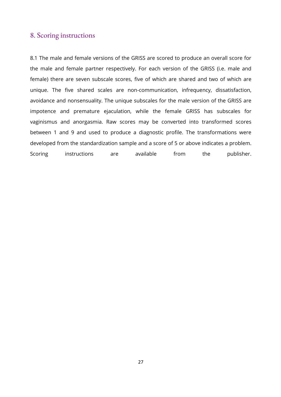### 8. Scoring instructions

8.1 The male and female versions of the GRISS are scored to produce an overall score for the male and female partner respectively. For each version of the GRISS (i.e. male and female) there are seven subscale scores, five of which are shared and two of which are unique. The five shared scales are non-communication, infrequency, dissatisfaction, avoidance and nonsensuality. The unique subscales for the male version of the GRISS are impotence and premature ejaculation, while the female GRISS has subscales for vaginismus and anorgasmia. Raw scores may be converted into transformed scores between 1 and 9 and used to produce a diagnostic profile. The transformations were developed from the standardization sample and a score of 5 or above indicates a problem. Scoring instructions are available from the publisher.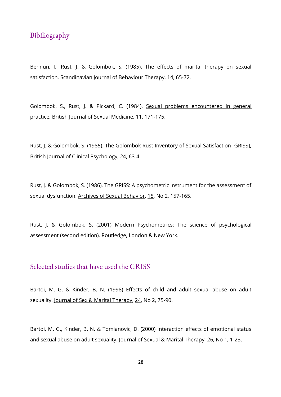### Bibiliography

Bennun, I., Rust, J. & Golombok, S. (1985). The effects of marital therapy on sexual satisfaction. Scandinavian Journal of Behaviour Therapy, 14, 65-72.

Golombok, S., Rust, J. & Pickard, C. (1984). Sexual problems encountered in general practice, British Journal of Sexual Medicine, 11, 171-175.

Rust, J. & Golombok, S. (1985). The Golombok Rust Inventory of Sexual Satisfaction [GRISS], British Journal of Clinical Psychology, 24, 63-4.

Rust, J. & Golombok, S. (1986). The GRISS: A psychometric instrument for the assessment of sexual dysfunction. Archives of Sexual Behavior, 15, No 2, 157-165.

Rust, J. & Golombok, S. (2001) Modern Psychometrics: The science of psychological assessment (second edition). Routledge, London & New York.

### Selected studies that have used the GRISS

Bartoi, M. G. & Kinder, B. N. (1998) Effects of child and adult sexual abuse on adult sexuality. Journal of Sex & Marital Therapy, 24, No 2, 75-90.

Bartoi, M. G., Kinder, B. N. & Tomianovic, D. (2000) Interaction effects of emotional status and sexual abuse on adult sexuality. Journal of Sexual & Marital Therapy, 26, No 1, 1-23.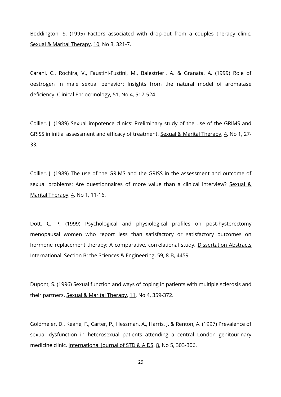Boddington, S. (1995) Factors associated with drop-out from a couples therapy clinic. Sexual & Marital Therapy, 10, No 3, 321-7.

Carani, C., Rochira, V., Faustini-Fustini, M., Balestrieri, A. & Granata, A. (1999) Role of oestrogen in male sexual behavior: Insights from the natural model of aromatase deficiency. Clinical Endocrinology, 51, No 4, 517-524.

Collier, J. (1989) Sexual impotence clinics: Preliminary study of the use of the GRIMS and GRISS in initial assessment and efficacy of treatment. Sexual & Marital Therapy, 4, No 1, 27-33.

Collier, J. (1989) The use of the GRIMS and the GRISS in the assessment and outcome of sexual problems: Are questionnaires of more value than a clinical interview? Sexual & Marital Therapy, 4, No 1, 11-16.

Dott, C. P. (1999) Psychological and physiological profiles on post-hysterectomy menopausal women who report less than satisfactory or satisfactory outcomes on hormone replacement therapy: A comparative, correlational study. Dissertation Abstracts International: Section B: the Sciences & Engineering, 59, 8-B, 4459.

Dupont, S. (1996) Sexual function and ways of coping in patients with multiple sclerosis and their partners. Sexual & Marital Therapy, 11, No 4, 359-372.

Goldmeier, D., Keane, F., Carter, P., Hessman, A., Harris, J. & Renton, A. (1997) Prevalence of sexual dysfunction in heterosexual patients attending a central London genitourinary medicine clinic. International Journal of STD & AIDS, 8, No 5, 303-306.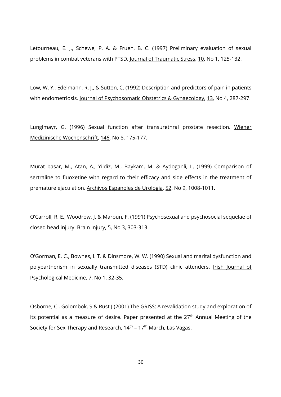Letourneau, E. J., Schewe, P. A. & Frueh, B. C. (1997) Preliminary evaluation of sexual problems in combat veterans with PTSD. Journal of Traumatic Stress, 10, No 1, 125-132.

Low, W. Y., Edelmann, R. J., & Sutton, C. (1992) Description and predictors of pain in patients with endometriosis. Journal of Psychosomatic Obstetrics & Gynaecology, 13, No 4, 287-297.

Lunglmayr, G. (1996) Sexual function after transurethral prostate resection. Wiener Medizinische Wochenschrift, 146, No 8, 175-177.

Murat basar, M., Atan, A., Yildiz, M., Baykam, M. & Aydoganli, L. (1999) Comparison of sertraline to fluoxetine with regard to their efficacy and side effects in the treatment of premature ejaculation. Archivos Espanoles de Urologia, 52, No 9, 1008-1011.

O'Carroll, R. E., Woodrow, J. & Maroun, F. (1991) Psychosexual and psychosocial sequelae of closed head injury. Brain Injury, 5, No 3, 303-313.

O'Gorman, E. C., Bownes, I. T. & Dinsmore, W. W. (1990) Sexual and marital dysfunction and polypartnerism in sexually transmitted diseases (STD) clinic attenders. Irish Journal of Psychological Medicine, Z, No 1, 32-35.

Osborne, C., Golombok, S & Rust J.(2001) The GRISS: A revalidation study and exploration of its potential as a measure of desire. Paper presented at the 27<sup>th</sup> Annual Meeting of the Society for Sex Therapy and Research, 14<sup>th</sup> – 17<sup>th</sup> March, Las Vagas.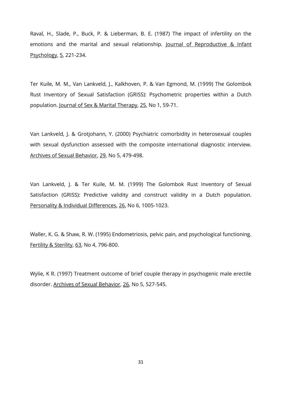Raval, H., Slade, P., Buck, P. & Lieberman, B. E. (1987) The impact of infertility on the emotions and the marital and sexual relationship. Journal of Reproductive & Infant Psychology, 5, 221-234.

Ter Kuile, M. M., Van Lankveld, J., Kalkhoven, P. & Van Egmond, M. (1999) The Golombok Rust Inventory of Sexual Satisfaction (GRISS): Psychometric properties within a Dutch population. Journal of Sex & Marital Therapy, 25, No 1, 59-71.

Van Lankveld, J. & Grotjohann, Y. (2000) Psychiatric comorbidity in heterosexual couples with sexual dysfunction assessed with the composite international diagnostic interview. Archives of Sexual Behavior, 29, No 5, 479-498.

Van Lankveld, J. & Ter Kuile, M. M. (1999) The Golombok Rust Inventory of Sexual Satisfaction (GRISS): Predictive validity and construct validity in a Dutch population. Personality & Individual Differences, 26, No 6, 1005-1023.

Waller, K. G. & Shaw, R. W. (1995) Endometriosis, pelvic pain, and psychological functioning. Fertility & Sterility, 63, No 4, 796-800.

Wylie, K R. (1997) Treatment outcome of brief couple therapy in psychogenic male erectile disorder. Archives of Sexual Behavior, 26, No 5, 527-545.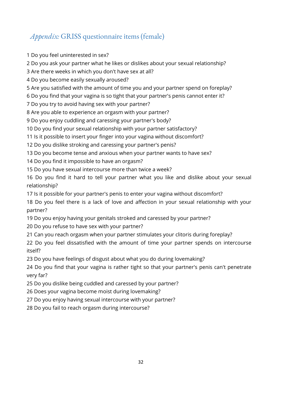# *Appendix:* GRISS questionnaire items (female)

1 Do you feel uninterested in sex?

2 Do you ask your partner what he likes or dislikes about your sexual relationship?

3 Are there weeks in which you don't have sex at all?

4 Do you become easily sexually aroused?

5 Are you satisfied with the amount of time you and your partner spend on foreplay?

6 Do you find that your vagina is so tight that your partner's penis cannot enter it?

7 Do you try to avoid having sex with your partner?

8 Are you able to experience an orgasm with your partner?

9 Do you enjoy cuddling and caressing your partner's body?

10 Do you find your sexual relationship with your partner satisfactory?

11 Is it possible to insert your finger into your vagina without discomfort?

12 Do you dislike stroking and caressing your partner's penis?

13 Do you become tense and anxious when your partner wants to have sex?

14 Do you find it impossible to have an orgasm?

15 Do you have sexual intercourse more than twice a week?

16 Do you find it hard to tell your partner what you like and dislike about your sexual relationship?

17 Is it possible for your partner's penis to enter your vagina without discomfort?

18 Do you feel there is a lack of love and affection in your sexual relationship with your partner?

19 Do you enjoy having your genitals stroked and caressed by your partner?

20 Do you refuse to have sex with your partner?

21 Can you reach orgasm when your partner stimulates your clitoris during foreplay?

22 Do you feel dissatisfied with the amount of time your partner spends on intercourse itself?

23 Do you have feelings of disgust about what you do during lovemaking?

24 Do you find that your vagina is rather tight so that your partner's penis can't penetrate very far?

25 Do you dislike being cuddled and caressed by your partner?

26 Does your vagina become moist during lovemaking?

27 Do you enjoy having sexual intercourse with your partner?

28 Do you fail to reach orgasm during intercourse?